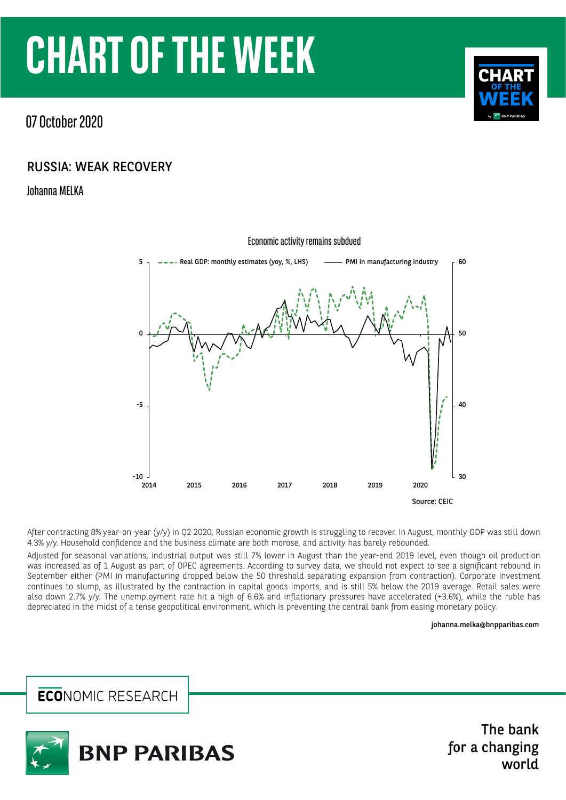# **CHART OF THE WEEK**

07 October 2020

## RUSSIA: WEAK RECOVERY

Johanna MELKA



After contracting 8% year-on-year (y/y) in Q2 2020, Russian economic growth is struggling to recover. In August, monthly GDP was still down 4.3% y/y. Household confidence and the business climate are both morose, and activity has barely rebounded.

Adjusted for seasonal variations, industrial output was still 7% lower in August than the year-end 2019 level, even though oil production was increased as of 1 August as part of OPEC agreements. According to survey data, we should not expect to see a significant rebound in September either (PMI in manufacturing dropped below the 50 threshold separating expansion from contraction). Corporate investment continues to slump, as illustrated by the contraction in capital goods imports, and is still 5% below the 2019 average. Retail sales were also down 2.7% y/y. The unemployment rate hit a high of 6.6% and inflationary pressures have accelerated (+3.6%), while the ruble has depreciated in the midst of a tense geopolitical environment, which is preventing the central bank from easing monetary policy.

#### johanna.melka[@bnpparibas.com](mailto:johanna.melka%40bnpparibas.com%0D?subject=)

**ECONOMIC RESEARCH** 



The bank for a changing world